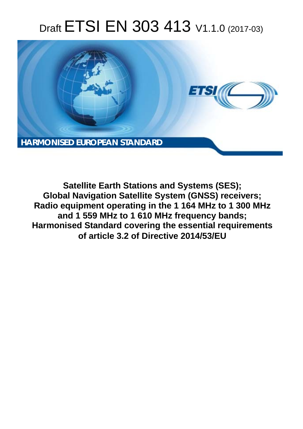# Draft ETSI EN 303 413 V1.1.0 (2017-03)



**Satellite Earth Stations and Systems (SES); Global Navigation Satellite System (GNSS) receivers; Radio equipment operating in the 1 164 MHz to 1 300 MHz and 1 559 MHz to 1 610 MHz frequency bands; Harmonised Standard covering the essential requirements of article 3.2 of Directive 2014/53/EU**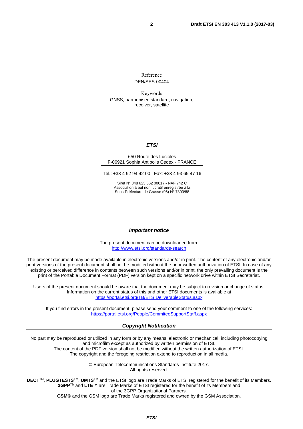Reference DEN/SES-00404

Keywords

GNSS, harmonised standard, navigation, receiver, satellite

#### *ETSI*

#### 650 Route des Lucioles F-06921 Sophia Antipolis Cedex - FRANCE

Tel.: +33 4 92 94 42 00 Fax: +33 4 93 65 47 16

Siret N° 348 623 562 00017 - NAF 742 C Association à but non lucratif enregistrée à la Sous-Préfecture de Grasse (06) N° 7803/88

#### *Important notice*

The present document can be downloaded from: <http://www.etsi.org/standards-search>

The present document may be made available in electronic versions and/or in print. The content of any electronic and/or print versions of the present document shall not be modified without the prior written authorization of ETSI. In case of any existing or perceived difference in contents between such versions and/or in print, the only prevailing document is the print of the Portable Document Format (PDF) version kept on a specific network drive within ETSI Secretariat.

Users of the present document should be aware that the document may be subject to revision or change of status. Information on the current status of this and other ETSI documents is available at <https://portal.etsi.org/TB/ETSIDeliverableStatus.aspx>

If you find errors in the present document, please send your comment to one of the following services: <https://portal.etsi.org/People/CommiteeSupportStaff.aspx>

#### *Copyright Notification*

No part may be reproduced or utilized in any form or by any means, electronic or mechanical, including photocopying and microfilm except as authorized by written permission of ETSI.

The content of the PDF version shall not be modified without the written authorization of ETSI. The copyright and the foregoing restriction extend to reproduction in all media.

> © European Telecommunications Standards Institute 2017. All rights reserved.

**DECT**TM, **PLUGTESTS**TM, **UMTS**TM and the ETSI logo are Trade Marks of ETSI registered for the benefit of its Members. **3GPP**TM and **LTE**™ are Trade Marks of ETSI registered for the benefit of its Members and of the 3GPP Organizational Partners.

**GSM**® and the GSM logo are Trade Marks registered and owned by the GSM Association.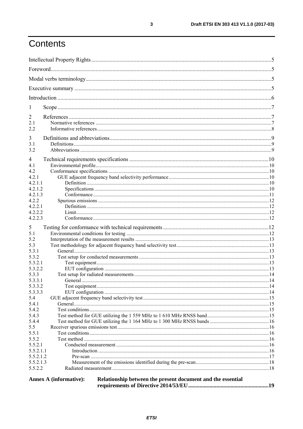## Contents

| 1                    |                                                                                       |  |  |
|----------------------|---------------------------------------------------------------------------------------|--|--|
|                      |                                                                                       |  |  |
| 2<br>2.1             |                                                                                       |  |  |
| 2.2                  |                                                                                       |  |  |
|                      |                                                                                       |  |  |
| 3                    |                                                                                       |  |  |
| 3.1                  |                                                                                       |  |  |
| 3.2                  |                                                                                       |  |  |
| 4                    |                                                                                       |  |  |
| 4.1                  |                                                                                       |  |  |
| 4.2                  |                                                                                       |  |  |
| 4.2.1                |                                                                                       |  |  |
| 4.2.1.1              |                                                                                       |  |  |
| 4.2.1.2              |                                                                                       |  |  |
| 4.2.1.3              |                                                                                       |  |  |
| 4.2.2                |                                                                                       |  |  |
| 4.2.2.1              |                                                                                       |  |  |
| 4.2.2.2              |                                                                                       |  |  |
| 4.2.2.3              |                                                                                       |  |  |
| 5                    |                                                                                       |  |  |
| 5.1                  |                                                                                       |  |  |
| 5.2                  |                                                                                       |  |  |
| 5.3                  |                                                                                       |  |  |
| 5.3.1                |                                                                                       |  |  |
| 5.3.2                |                                                                                       |  |  |
| 5.3.2.1              |                                                                                       |  |  |
| 5.3.2.2              |                                                                                       |  |  |
| 5.3.3<br>5.3.3.1     |                                                                                       |  |  |
| 5.3.3.2              |                                                                                       |  |  |
| 5.3.3.3              |                                                                                       |  |  |
| 5.4                  |                                                                                       |  |  |
| 5.4.1                |                                                                                       |  |  |
| 5.4.2                |                                                                                       |  |  |
| 5.4.3                |                                                                                       |  |  |
| 5.4.4                |                                                                                       |  |  |
| 5.5                  |                                                                                       |  |  |
| 5.5.1                |                                                                                       |  |  |
| 5.5.2                |                                                                                       |  |  |
| 5.5.2.1              |                                                                                       |  |  |
| 5.5.2.1.1            |                                                                                       |  |  |
| 5.5.2.1.2            |                                                                                       |  |  |
| 5.5.2.1.3<br>5.5.2.2 |                                                                                       |  |  |
|                      |                                                                                       |  |  |
|                      | Relationship between the present document and the essential<br>Annex A (informative): |  |  |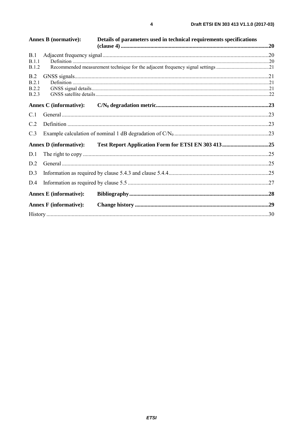|                              | <b>Annex B</b> (normative):   | Details of parameters used in technical requirements specifications | .20 |
|------------------------------|-------------------------------|---------------------------------------------------------------------|-----|
| B.1                          |                               |                                                                     |     |
| B.1.1<br>B.1.2               |                               |                                                                     |     |
| B.2                          |                               |                                                                     |     |
| B.2.1                        |                               |                                                                     |     |
| <b>B.2.2</b><br><b>B.2.3</b> |                               |                                                                     |     |
|                              | <b>Annex C</b> (informative): |                                                                     |     |
| C.1                          |                               |                                                                     |     |
| C.2                          |                               |                                                                     |     |
| C.3                          |                               |                                                                     |     |
|                              | <b>Annex D</b> (informative): |                                                                     |     |
| D.1                          |                               |                                                                     |     |
| D.2                          |                               |                                                                     |     |
| D.3                          |                               |                                                                     |     |
| D.4                          |                               |                                                                     |     |
|                              | <b>Annex E</b> (informative): |                                                                     |     |
|                              | <b>Annex F</b> (informative): |                                                                     |     |
|                              |                               |                                                                     |     |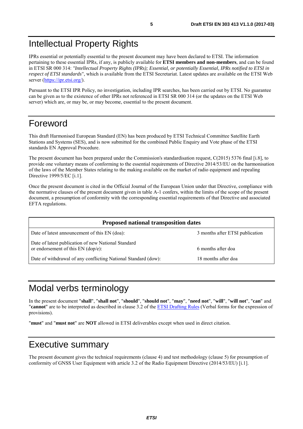## <span id="page-4-0"></span>Intellectual Property Rights

IPRs essential or potentially essential to the present document may have been declared to ETSI. The information pertaining to these essential IPRs, if any, is publicly available for **ETSI members and non-members**, and can be found in ETSI SR 000 314: *"Intellectual Property Rights (IPRs); Essential, or potentially Essential, IPRs notified to ETSI in respect of ETSI standards"*, which is available from the ETSI Secretariat. Latest updates are available on the ETSI Web server [\(https://ipr.etsi.org/](https://ipr.etsi.org/)).

Pursuant to the ETSI IPR Policy, no investigation, including IPR searches, has been carried out by ETSI. No guarantee can be given as to the existence of other IPRs not referenced in ETSI SR 000 314 (or the updates on the ETSI Web server) which are, or may be, or may become, essential to the present document.

### Foreword

This draft Harmonised European Standard (EN) has been produced by ETSI Technical Committee Satellite Earth Stations and Systems (SES), and is now submitted for the combined Public Enquiry and Vote phase of the ETSI standards EN Approval Procedure.

The present document has been prepared under the Commission's standardisation request, C(2015) 5376 final [\[i.8](#page-7-0)], to provide one voluntary means of conforming to the essential requirements of Directive 2014/53/EU on the harmonisation of the laws of the Member States relating to the making available on the market of radio equipment and repealing Directive 1999/5/EC [\[i.1\]](#page-7-0).

Once the present document is cited in the Official Journal of the European Union under that Directive, compliance with the normative clauses of the present document given in table A-1 confers, within the limits of the scope of the present document, a presumption of conformity with the corresponding essential requirements of that Directive and associated EFTA regulations.

| <b>Proposed national transposition dates</b>                                                |                                 |  |  |
|---------------------------------------------------------------------------------------------|---------------------------------|--|--|
| Date of latest announcement of this EN (doa):                                               | 3 months after ETSI publication |  |  |
| Date of latest publication of new National Standard<br>or endorsement of this $EN$ (dop/e): | 6 months after doa              |  |  |
| Date of withdrawal of any conflicting National Standard (dow):                              | 18 months after doa             |  |  |

## Modal verbs terminology

In the present document "**shall**", "**shall not**", "**should**", "**should not**", "**may**", "**need not**", "**will**", "**will not**", "**can**" and "**cannot**" are to be interpreted as described in clause 3.2 of the [ETSI Drafting Rules](https://portal.etsi.org/Services/editHelp!/Howtostart/ETSIDraftingRules.aspx) (Verbal forms for the expression of provisions).

"**must**" and "**must not**" are **NOT** allowed in ETSI deliverables except when used in direct citation.

### Executive summary

The present document gives the technical requirements (clause 4) and test methodology (clause 5) for presumption of conformity of GNSS User Equipment with article 3.2 of the Radio Equipment Directive (2014/53/EU) [\[i.1](#page-7-0)].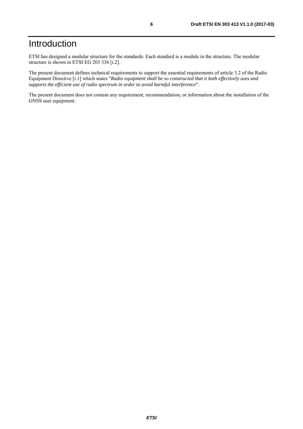## <span id="page-5-0"></span>Introduction

ETSI has designed a modular structure for the standards. Each standard is a module in the structure. The modular structure is shown in ETSI EG 203 336 [\[i.2](#page-7-0)].

The present document defines technical requirements to support the essential requirements of article 3.2 of the Radio Equipment Directive [\[i.1](#page-7-0)] which states "*Radio equipment shall be so constructed that it both effectively uses and supports the efficient use of radio spectrum in order to avoid harmful interference*".

The present document does not contain any requirement, recommendation, or information about the installation of the GNSS user equipment.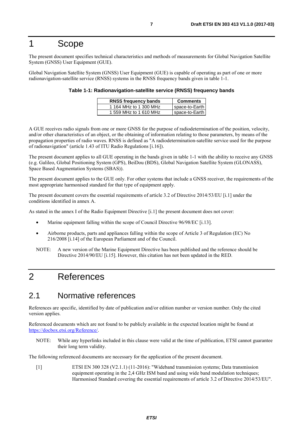### <span id="page-6-0"></span>1 Scope

The present document specifies technical characteristics and methods of measurements for Global Navigation Satellite System (GNSS) User Equipment (GUE).

Global Navigation Satellite System (GNSS) User Equipment (GUE) is capable of operating as part of one or more radionavigation-satellite service (RNSS) systems in the RNSS frequency bands given in table 1-1.

| Table 1-1: Radionavigation-satellite service (RNSS) frequency bands |  |
|---------------------------------------------------------------------|--|
|---------------------------------------------------------------------|--|

| <b>RNSS frequency bands</b> | <b>Comments</b> |
|-----------------------------|-----------------|
| 1 164 MHz to 1 300 MHz      | space-to-Earth  |
| 1 559 MHz to 1 610 MHz      | space-to-Earth  |

A GUE receives radio signals from one or more GNSS for the purpose of radiodetermination of the position, velocity, and/or other characteristics of an object, or the obtaining of information relating to those parameters, by means of the propagation properties of radio waves. RNSS is defined as "A radiodetermination-satellite service used for the purpose of radionavigation" (article 1.43 of ITU Radio Regulations [\[i.16\]](#page-8-0)).

The present document applies to all GUE operating in the bands given in table 1-1 with the ability to receive any GNSS (e.g. Galileo, Global Positioning System (GPS), BeiDou (BDS), Global Navigation Satellite System (GLONASS), Space Based Augmentation Systems (SBAS)).

The present document applies to the GUE only. For other systems that include a GNSS receiver, the requirements of the most appropriate harmonised standard for that type of equipment apply.

The present document covers the essential requirements of article 3.2 of Directive 2014/53/EU [\[i.1](#page-7-0)] under the conditions identified in annex A.

As stated in the annex I of the Radio Equipment Directive [\[i.1](#page-7-0)] the present document does not cover:

- Marine equipment falling within the scope of Council Directive 96/98/EC [\[i.13](#page-7-0)].
- Airborne products, parts and appliances falling within the scope of Article 3 of Regulation (EC) No 216/2008 [[i.14](#page-7-0)] of the European Parliament and of the Council.
- NOTE: A new version of the Marine Equipment Directive has been published and the reference should be Directive 2014/90/EU [\[i.15](#page-8-0)]. However, this citation has not been updated in the RED.

### 2 References

### 2.1 Normative references

References are specific, identified by date of publication and/or edition number or version number. Only the cited version applies.

Referenced documents which are not found to be publicly available in the expected location might be found at <https://docbox.etsi.org/Reference/>.

NOTE: While any hyperlinks included in this clause were valid at the time of publication, ETSI cannot guarantee their long term validity.

The following referenced documents are necessary for the application of the present document.

[1] ETSI EN 300 328 (V2.1.1) (11-2016): "Wideband transmission systems; Data transmission equipment operating in the 2,4 GHz ISM band and using wide band modulation techniques; Harmonised Standard covering the essential requirements of article 3.2 of Directive 2014/53/EU".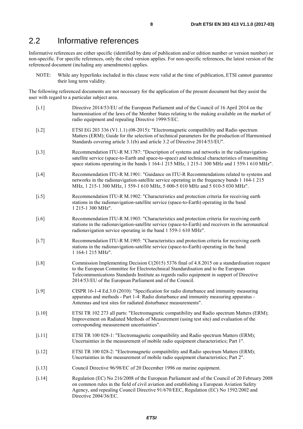### <span id="page-7-0"></span>2.2 Informative references

Informative references are either specific (identified by date of publication and/or edition number or version number) or non-specific. For specific references, only the cited version applies. For non-specific references, the latest version of the referenced document (including any amendments) applies.

NOTE: While any hyperlinks included in this clause were valid at the time of publication, ETSI cannot guarantee their long term validity.

The following referenced documents are not necessary for the application of the present document but they assist the user with regard to a particular subject area.

[i.1] Directive 2014/53/EU of the European Parliament and of the Council of 16 April 2014 on the harmonisation of the laws of the Member States relating to the making available on the market of radio equipment and repealing Directive 1999/5/EC. [i.2] ETSI EG 203 336 (V1.1.1) (08-2015): "Electromagnetic compatibility and Radio spectrum Matters (ERM); Guide for the selection of technical parameters for the production of Harmonised Standards covering article 3.1(b) and article 3.2 of Directive 2014/53/EU". [i.3] Recommendation ITU-R M.1787: "Description of systems and networks in the radionavigationsatellite service (space-to-Earth and space-to-space) and technical characteristics of transmitting space stations operating in the bands 1 164-1 215 MHz, 1 215-1 300 MHz and 1 559-1 610 MHz". [i.4] Recommendation ITU-R M.1901: "Guidance on ITU-R Recommendations related to systems and networks in the radionavigation-satellite service operating in the frequency bands 1 164-1 215 MHz, 1 215-1 300 MHz, 1 559-1 610 MHz, 5 000-5 010 MHz and 5 010-5 030 MHz". [i.5] Recommendation ITU-R M.1902: "Characteristics and protection criteria for receiving earth stations in the radionavigation-satellite service (space-to-Earth) operating in the band 1 215-1 300 MHz". [i.6] Recommendation ITU-R M.1903: "Characteristics and protection criteria for receiving earth stations in the radionavigation-satellite service (space-to-Earth) and receivers in the aeronautical radionavigation service operating in the band 1 559-1 610 MHz". [i.7] Recommendation ITU-R M.1905: "Characteristics and protection criteria for receiving earth stations in the radionavigation-satellite service (space-to-Earth) operating in the band 1 164-1 215 MHz". [i.8] Commission Implementing Decision C(2015) 5376 final of 4.8.2015 on a standardisation request to the European Committee for Electrotechnical Standardisation and to the European Telecommunications Standards Institute as regards radio equipment in support of Directive 2014/53/EU of the European Parliament and of the Council. [i.9] CISPR 16-1-4 Ed.3.0 (2010): "Specification for radio disturbance and immunity measuring apparatus and methods - Part 1-4: Radio disturbance and immunity measuring apparatus - Antennas and test sites for radiated disturbance measurements". [i.10] ETSI TR 102 273 all parts: "Electromagnetic compatibility and Radio spectrum Matters (ERM); Improvement on Radiated Methods of Measurement (using test site) and evaluation of the corresponding measurement uncertainties". [i.11] ETSI TR 100 028-1: "Electromagnetic compatibility and Radio spectrum Matters (ERM); Uncertainties in the measurement of mobile radio equipment characteristics; Part 1". [i.12] ETSI TR 100 028-2: "Electromagnetic compatibility and Radio spectrum Matters (ERM); Uncertainties in the measurement of mobile radio equipment characteristics; Part 2". [i.13] Council Directive 96/98/EC of 20 December 1996 on marine equipment. [i.14] Regulation (EC) No 216/2008 of the European Parliament and of the Council of 20 February 2008 on common rules in the field of civil aviation and establishing a European Aviation Safety Agency, and repealing Council Directive 91/670/EEC, Regulation (EC) No 1592/2002 and Directive 2004/36/EC.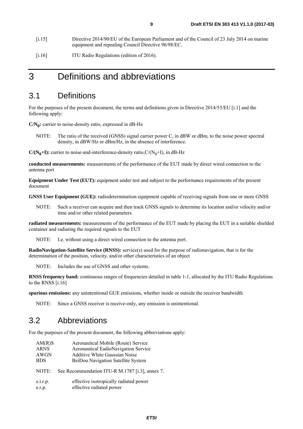- <span id="page-8-0"></span>[i.15] Directive 2014/90/EU of the European Parliament and of the Council of 23 July 2014 on marine equipment and repealing Council Directive 96/98/EC.
- [i.16] ITU Radio Regulations (edition of 2016).

### 3 Definitions and abbreviations

### 3.1 Definitions

For the purposes of the present document, the terms and definitions given in Directive 2014/53/EU [\[i.1](#page-7-0)] and the following apply:

**C/N0:** carrier to noise-density ratio, expressed in dB-Hz

NOTE: The ratio of the received (GNSS) signal carrier power C, in dBW or dBm, to the noise power spectral density, in dBW/Hz or dBm/Hz, in the absence of interference.

 $C/(N_0+I)$ : carrier to noise-and-interference-density ratio, $C/(N_0+I)$ , in dB-Hz

**conducted measurements:** measurements of the performance of the EUT made by direct wired connection to the antenna port

**Equipment Under Test (EUT):** equipment under test and subject to the performance requirements of the present document

**GNSS User Equipment (GUE):** radiodetermination equipment capable of receiving signals from one or more GNSS

NOTE: Such a receiver can acquire and then track GNSS signals to determine its location and/or velocity and/or time and/or other related parameters.

**radiated measurements:** measurements of the performance of the EUT made by placing the EUT in a suitable shielded container and radiating the required signals to the EUT

NOTE: I.e. without using a direct wired connection to the antenna port.

**RadioNavigation-Satellite Service (RNSS):** service(s) used for the purpose of radionavigation, that is for the determination of the position, velocity, and/or other characteristics of an object

NOTE: Includes the use of GNSS and other systems.

**RNSS frequency band:** continuous ranges of frequencies detailed in table 1-1, allocated by the ITU Radio Regulations to the RNSS [i.16]

**spurious emissions:** any unintentional GUE emissions, whether inside or outside the receiver bandwidth

NOTE: Since a GNSS receiver is receive-only, any emission is unintentional.

### 3.2 Abbreviations

For the purposes of the present document, the following abbreviations apply:

| AM(R)S      | Aeronautical Mobile (Route) Service             |
|-------------|-------------------------------------------------|
| <b>ARNS</b> | Aeronautical EadioNavigation Service            |
| AWGN        | <b>Additive White Gaussian Noise</b>            |
| <b>BDS</b>  | BeiDou Navigation Satellite System              |
| NOTE:       | See Recommendation ITU-R M.1787 [i.3], annex 7. |
| e.i.r.p.    | effective isotropically radiated power          |
| e.r.p.      | effective radiated power                        |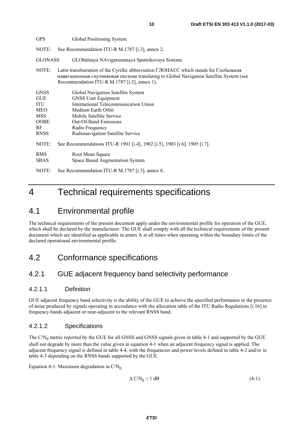<span id="page-9-0"></span>

| <b>GPS</b>                                                                                       | Global Positioning System                                                                                                                                                                                                                           |
|--------------------------------------------------------------------------------------------------|-----------------------------------------------------------------------------------------------------------------------------------------------------------------------------------------------------------------------------------------------------|
| NOTE:                                                                                            | See Recommendation ITU-R M.1787 [i.3], annex 2.                                                                                                                                                                                                     |
| <b>GLONASS</b>                                                                                   | GLObalnaya NAvigatsionnaya Sputnikovaya Sistema                                                                                                                                                                                                     |
| NOTE:                                                                                            | Latin transliteration of the Cyrillic abbreviation ГЛОНАСС which stands for Глобальная<br>навигационная спутниковая система translating to Global Navigation Satellite System (see<br>Recommendation ITU-R M.1787 [i.3], annex 1).                  |
| <b>GNSS</b><br><b>GUE</b><br>ITU<br><b>MEO</b><br><b>MSS</b><br><b>OOBE</b><br>RF<br><b>RNSS</b> | Global Navigation Satellite System<br><b>GNSS User Equipment</b><br>International Telecommunication Union<br>Medium Earth Orbit<br>Mobile Satellite Service<br><b>Out-Of-Band Emissions</b><br>Radio Frequency<br>Radionavigation Satellite Service |
| NOTE:                                                                                            | See Recommendations ITU-R 1901 [i.4], 1902 [i.5], 1903 [i.6], 1905 [i.7].                                                                                                                                                                           |
| <b>RMS</b><br><b>SBAS</b>                                                                        | Root Mean Square<br>Space Based Augmentation System                                                                                                                                                                                                 |
| NOTE:                                                                                            | See Recommendation ITU-R M.1787 [i.3], annex 8.                                                                                                                                                                                                     |

## 4 Technical requirements specifications

### 4.1 Environmental profile

The technical requirements of the present document apply under the environmental profile for operation of the GUE, which shall be declared by the manufacturer. The GUE shall comply with all the technical requirements of the present document which are identified as applicable in annex A at all times when operating within the boundary limits of the declared operational environmental profile.

### 4.2 Conformance specifications

### 4.2.1 GUE adjacent frequency band selectivity performance

### 4.2.1.1 Definition

GUE adjacent frequency band selectivity is the ability of the GUE to achieve the specified performance in the presence of noise produced by signals operating in accordance with the allocation table of the ITU Radio Regulations [[i.16](#page-8-0)] in frequency bands adjacent or near-adjacent to the relevant RNSS band.

### 4.2.1.2 Specifications

The  $C/N_0$  metric reported by the GUE for all GNSS and GNSS signals given in table 4-1 and supported by the GUE shall not degrade by more than the value given in equation 4-1 when an adjacent frequency signal is applied. The adjacent frequency signal is defined in table 4-4, with the frequencies and power levels defined in table 4-2 and/or in table 4-3 depending on the RNSS bands supported by the GUE.

Equation 4-1: Maximum degradation in  $C/N_0$ 

$$
\Delta CN_0 \le 1 \text{ dB} \tag{4-1}
$$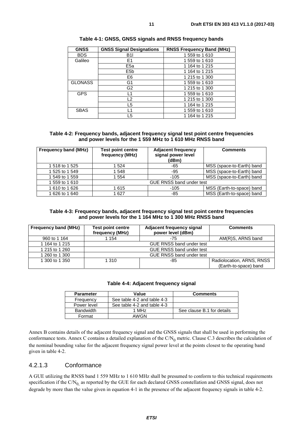<span id="page-10-0"></span>

| <b>GNSS</b>    | <b>GNSS Signal Designations</b> | <b>RNSS Frequency Band (MHz)</b> |
|----------------|---------------------------------|----------------------------------|
| <b>BDS</b>     | <b>B1I</b>                      | 1559 to 1610                     |
| Galileo        | E <sub>1</sub>                  | 1 559 to 1 610                   |
|                | E <sub>5a</sub>                 | 1 164 to 1 215                   |
|                | E <sub>5</sub> b                | 1 164 to 1 215                   |
|                | E6                              | 1 215 to 1 300                   |
| <b>GLONASS</b> | G1                              | 1 559 to 1 610                   |
|                | G2                              | 1 215 to 1 300                   |
| <b>GPS</b>     | L1                              | 1 559 to 1 610                   |
|                | L2                              | 1 215 to 1 300                   |
|                | L5                              | 1 164 to 1 215                   |
| <b>SBAS</b>    | l 1                             | 1 559 to 1 610                   |
|                | L5                              | 1 164 to 1 215                   |

|  |  | Table 4-1: GNSS, GNSS signals and RNSS frequency bands |  |
|--|--|--------------------------------------------------------|--|
|--|--|--------------------------------------------------------|--|

#### **Table 4-2: Frequency bands, adjacent frequency signal test point centre frequencies and power levels for the 1 559 MHz to 1 610 MHz RNSS band**

| <b>Frequency band (MHz)</b> | <b>Test point centre</b><br>frequency (MHz) | <b>Adjacent frequency</b><br>signal power level<br>(dBm) | <b>Comments</b>           |
|-----------------------------|---------------------------------------------|----------------------------------------------------------|---------------------------|
| 1 518 to 1 525              | 1 524                                       | -65                                                      | MSS (space-to-Earth) band |
| 1 525 to 1 549              | 1548                                        | -95                                                      | MSS (space-to-Earth) band |
| 1 549 to 1 559              | 1 554                                       | $-105$                                                   | MSS (space-to-Earth) band |
| 1 559 to 1 610              |                                             | <b>GUE RNSS band under test</b>                          |                           |
| 1 610 to 1 626              | 1 615                                       | $-105$                                                   | MSS (Earth-to-space) band |
| 1 626 to 1 640              | 1 627                                       | -85                                                      | MSS (Earth-to-space) band |

#### **Table 4-3: Frequency bands, adjacent frequency signal test point centre frequencies and power levels for the 1 164 MHz to 1 300 MHz RNSS band**

| <b>Frequency band (MHz)</b> | Adjacent frequency signal<br><b>Test point centre</b><br>power level (dBm)<br>frequency (MHz) |     | <b>Comments</b>           |
|-----------------------------|-----------------------------------------------------------------------------------------------|-----|---------------------------|
| 960 to 1 164                | 1 154                                                                                         | -75 | AM(R)S, ARNS band         |
| 1 164 to 1 215              | <b>GUE RNSS band under test</b>                                                               |     |                           |
| 1 215 to 1 260              | GUE RNSS band under test                                                                      |     |                           |
| 1 260 to 1 300              | <b>GUE RNSS band under test</b>                                                               |     |                           |
| 1 300 to 1 350              | 1 310<br>-85                                                                                  |     | Radiolocation, ARNS, RNSS |
|                             |                                                                                               |     | (Earth-to-space) band     |

#### **Table 4-4: Adjacent frequency signal**

| <b>Parameter</b>                           | Value | <b>Comments</b>            |
|--------------------------------------------|-------|----------------------------|
| See table 4-2 and table 4-3<br>Frequency   |       |                            |
| See table 4-2 and table 4-3<br>Power level |       |                            |
| Bandwidth                                  | 1 MHz | See clause B.1 for details |
| Format                                     | AWGN  |                            |

Annex B contains details of the adjacent frequency signal and the GNSS signals that shall be used in performing the conformance tests. Annex C contains a detailed explanation of the  $C/N_0$  metric. Clause C.3 describes the calculation of the nominal bounding value for the adjacent frequency signal power level at the points closest to the operating band given in table 4-2.

#### 4.2.1.3 Conformance

A GUE utilizing the RNSS band 1 559 MHz to 1 610 MHz shall be presumed to conform to this technical requirements specification if the  $CN_0$  as reported by the GUE for each declared GNSS constellation and GNSS signal, does not degrade by more than the value given in equation 4-1 in the presence of the adjacent frequency signals in table 4-2.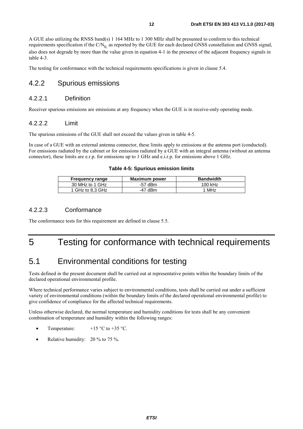<span id="page-11-0"></span>A GUE also utilizing the RNSS band(s) 1 164 MHz to 1 300 MHz shall be presumed to conform to this technical requirements specification if the  $C/N_0$  as reported by the GUE for each declared GNSS constellation and GNSS signal, also does not degrade by more than the value given in equation 4-1 in the presence of the adjacent frequency signals in table 4-3.

The testing for conformance with the technical requirements specifications is given in clause 5.4.

### 4.2.2 Spurious emissions

#### 4.2.2.1 Definition

Receiver spurious emissions are emissions at any frequency when the GUE is in receive-only operating mode.

#### 4.2.2.2 Limit

The spurious emissions of the GUE shall not exceed the values given in table 4-5.

In case of a GUE with an external antenna connector, these limits apply to emissions at the antenna port (conducted). For emissions radiated by the cabinet or for emissions radiated by a GUE with an integral antenna (without an antenna connector), these limits are e.r.p. for emissions up to 1 GHz and e.i.r.p. for emissions above 1 GHz.

| <b>Frequency range</b> | Maximum power | <b>Bandwidth</b> |
|------------------------|---------------|------------------|
| 30 MHz to 1 GHz        | $-57$ dBm     | 100 kHz          |
| 1 GHz to 8.3 GHz       | -47 dBm       | 1 MHz            |

### 4.2.2.3 Conformance

The conformance tests for this requirement are defined in clause 5.5.

### 5 Testing for conformance with technical requirements

### 5.1 Environmental conditions for testing

Tests defined in the present document shall be carried out at representative points within the boundary limits of the declared operational environmental profile.

Where technical performance varies subject to environmental conditions, tests shall be carried out under a sufficient variety of environmental conditions (within the boundary limits of the declared operational environmental profile) to give confidence of compliance for the affected technical requirements.

Unless otherwise declared, the normal temperature and humidity conditions for tests shall be any convenient combination of temperature and humidity within the following ranges:

- Temperature:  $+15 \degree C$  to  $+35 \degree C$ .
- Relative humidity: 20 % to 75 %.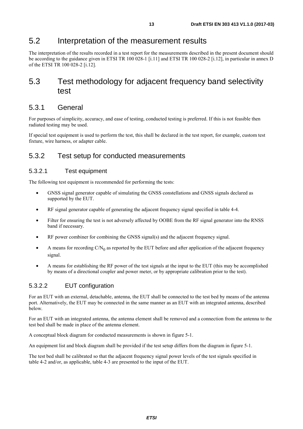### <span id="page-12-0"></span>5.2 Interpretation of the measurement results

The interpretation of the results recorded in a test report for the measurements described in the present document should be according to the guidance given in ETSI TR 100 028-1 [\[i.11](#page-7-0)] and ETSI TR 100 028-2 [\[i.12](#page-7-0)], in particular in annex D of the ETSI TR 100 028-2 [[i.12](#page-7-0)].

### 5.3 Test methodology for adjacent frequency band selectivity test

### 5.3.1 General

For purposes of simplicity, accuracy, and ease of testing, conducted testing is preferred. If this is not feasible then radiated testing may be used.

If special test equipment is used to perform the test, this shall be declared in the test report, for example, custom test fixture, wire harness, or adapter cable.

### 5.3.2 Test setup for conducted measurements

#### 5.3.2.1 Test equipment

The following test equipment is recommended for performing the tests:

- GNSS signal generator capable of simulating the GNSS constellations and GNSS signals declared as supported by the EUT.
- RF signal generator capable of generating the adjacent frequency signal specified in table 4-4.
- Filter for ensuring the test is not adversely affected by OOBE from the RF signal generator into the RNSS band if necessary.
- RF power combiner for combining the GNSS signal(s) and the adjacent frequency signal.
- A means for recording  $CN_0$  as reported by the EUT before and after application of the adjacent frequency signal.
- A means for establishing the RF power of the test signals at the input to the EUT (this may be accomplished by means of a directional coupler and power meter, or by appropriate calibration prior to the test).

#### 5.3.2.2 EUT configuration

For an EUT with an external, detachable, antenna, the EUT shall be connected to the test bed by means of the antenna port. Alternatively, the EUT may be connected in the same manner as an EUT with an integrated antenna, described below.

For an EUT with an integrated antenna, the antenna element shall be removed and a connection from the antenna to the test bed shall be made in place of the antenna element.

A conceptual block diagram for conducted measurements is shown in figure 5-1.

An equipment list and block diagram shall be provided if the test setup differs from the diagram in figure 5-1.

The test bed shall be calibrated so that the adjacent frequency signal power levels of the test signals specified in table 4-2 and/or, as applicable, table 4-3 are presented to the input of the EUT.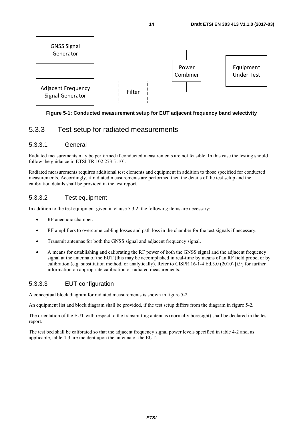<span id="page-13-0"></span>

#### **Figure 5-1: Conducted measurement setup for EUT adjacent frequency band selectivity**

### 5.3.3 Test setup for radiated measurements

#### 5.3.3.1 General

Radiated measurements may be performed if conducted measurements are not feasible. In this case the testing should follow the guidance in ETSI TR 102 273 [\[i.10](#page-7-0)].

Radiated measurements requires additional test elements and equipment in addition to those specified for conducted measurements. Accordingly, if radiated measurements are performed then the details of the test setup and the calibration details shall be provided in the test report.

### 5.3.3.2 Test equipment

In addition to the test equipment given in clause 5.3.2, the following items are necessary:

- RF anechoic chamber.
- RF amplifiers to overcome cabling losses and path loss in the chamber for the test signals if necessary.
- Transmit antennas for both the GNSS signal and adjacent frequency signal.
- A means for establishing and calibrating the RF power of both the GNSS signal and the adjacent frequency signal at the antenna of the EUT (this may be accomplished in real-time by means of an RF field probe, or by calibration (e.g. substitution method, or analytically). Refer to CISPR 16-1-4 Ed.3.0 (2010) [\[i.9\]](#page-7-0) for further information on appropriate calibration of radiated measurements.

### 5.3.3.3 EUT configuration

A conceptual block diagram for radiated measurements is shown in figure 5-2.

An equipment list and block diagram shall be provided, if the test setup differs from the diagram in figure 5-2.

The orientation of the EUT with respect to the transmitting antennas (normally boresight) shall be declared in the test report.

The test bed shall be calibrated so that the adjacent frequency signal power levels specified in table 4-2 and, as applicable, table 4-3 are incident upon the antenna of the EUT.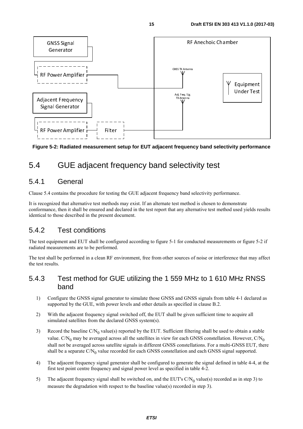<span id="page-14-0"></span>

**Figure 5-2: Radiated measurement setup for EUT adjacent frequency band selectivity performance** 

## 5.4 GUE adjacent frequency band selectivity test

### 5.4.1 General

Clause 5.4 contains the procedure for testing the GUE adjacent frequency band selectivity performance.

It is recognized that alternative test methods may exist. If an alternate test method is chosen to demonstrate conformance, then it shall be ensured and declared in the test report that any alternative test method used yields results identical to those described in the present document.

### 5.4.2 Test conditions

The test equipment and EUT shall be configured according to figure 5-1 for conducted measurements or figure 5-2 if radiated measurements are to be performed.

The test shall be performed in a clean RF environment, free from other sources of noise or interference that may affect the test results.

### 5.4.3 Test method for GUE utilizing the 1 559 MHz to 1 610 MHz RNSS band

- 1) Configure the GNSS signal generator to simulate those GNSS and GNSS signals from table 4-1 declared as supported by the GUE, with power levels and other details as specified in clause B.2.
- 2) With the adjacent frequency signal switched off, the EUT shall be given sufficient time to acquire all simulated satellites from the declared GNSS system(s).
- 3) Record the baseline  $C/N_0$  value(s) reported by the EUT. Sufficient filtering shall be used to obtain a stable value. C/N<sub>0</sub> may be averaged across all the satellites in view for each GNSS constellation. However, C/N<sub>0</sub> shall not be averaged across satellite signals in different GNSS constellations. For a multi-GNSS EUT, there shall be a separate  $CN_0$  value recorded for each GNSS constellation and each GNSS signal supported.
- 4) The adjacent frequency signal generator shall be configured to generate the signal defined in table 4-4, at the first test point centre frequency and signal power level as specified in table 4-2.
- 5) The adjacent frequency signal shall be switched on, and the EUT's  $C/N_0$  value(s) recorded as in step 3) to measure the degradation with respect to the baseline value(s) recorded in step 3).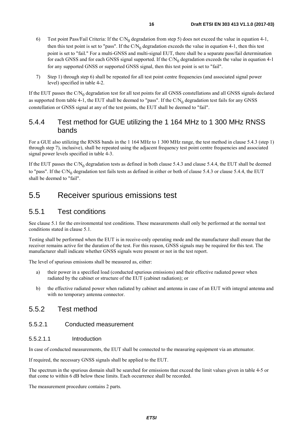- <span id="page-15-0"></span>6) Test point Pass/Fail Criteria: If the C/N<sub>0</sub> degradation from step 5) does not exceed the value in equation 4-1, then this test point is set to "pass". If the  $C/N_0$  degradation exceeds the value in equation 4-1, then this test point is set to "fail." For a multi-GNSS and multi-signal EUT, there shall be a separate pass/fail determination for each GNSS and for each GNSS signal supported. If the  $C/N_0$  degradation exceeds the value in equation 4-1 for any supported GNSS or supported GNSS signal, then this test point is set to "fail".
- 7) Step 1) through step 6) shall be repeated for all test point centre frequencies (and associated signal power level) specified in table 4-2.

If the EUT passes the  $C/N_0$  degradation test for all test points for all GNSS constellations and all GNSS signals declared as supported from table 4-1, the EUT shall be deemed to "pass". If the  $CN_0$  degradation test fails for any GNSS constellation or GNSS signal at any of the test points, the EUT shall be deemed to "fail".

### 5.4.4 Test method for GUE utilizing the 1 164 MHz to 1 300 MHz RNSS bands

For a GUE also utilizing the RNSS bands in the 1 164 MHz to 1 300 MHz range, the test method in clause 5.4.3 (step 1) through step 7), inclusive), shall be repeated using the adjacent frequency test point centre frequencies and associated signal power levels specified in table 4-3.

If the EUT passes the  $C/N_0$  degradation tests as defined in both clause 5.4.3 and clause 5.4.4, the EUT shall be deemed to "pass". If the  $CN_0$  degradation test fails tests as defined in either or both of clause 5.4.3 or clause 5.4.4, the EUT shall be deemed to "fail".

### 5.5 Receiver spurious emissions test

### 5.5.1 Test conditions

See clause 5.1 for the environmental test conditions. These measurements shall only be performed at the normal test conditions stated in clause 5.1.

Testing shall be performed when the EUT is in receive-only operating mode and the manufacturer shall ensure that the receiver remains active for the duration of the test. For this reason, GNSS signals may be required for this test. The manufacturer shall indicate whether GNSS signals were present or not in the test report.

The level of spurious emissions shall be measured as, either:

- a) their power in a specified load (conducted spurious emissions) and their effective radiated power when radiated by the cabinet or structure of the EUT (cabinet radiation); or
- b) the effective radiated power when radiated by cabinet and antenna in case of an EUT with integral antenna and with no temporary antenna connector.

### 5.5.2 Test method

#### 5.5.2.1 Conducted measurement

#### 5.5.2.1.1 Introduction

In case of conducted measurements, the EUT shall be connected to the measuring equipment via an attenuator.

If required, the necessary GNSS signals shall be applied to the EUT.

The spectrum in the spurious domain shall be searched for emissions that exceed the limit values given in table 4-5 or that come to within 6 dB below these limits. Each occurrence shall be recorded.

The measurement procedure contains 2 parts.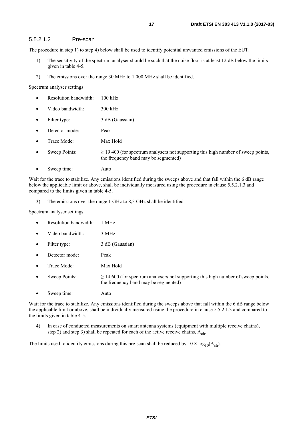#### <span id="page-16-0"></span>5.5.2.1.2 Pre-scan

The procedure in step 1) to step 4) below shall be used to identify potential unwanted emissions of the EUT:

- 1) The sensitivity of the spectrum analyser should be such that the noise floor is at least 12 dB below the limits given in table 4-5.
- 2) The emissions over the range 30 MHz to 1 000 MHz shall be identified.

Spectrum analyser settings:

- Resolution bandwidth: 100 kHz
- Video bandwidth: 300 kHz
- Filter type: 3 dB (Gaussian)
- Detector mode: Peak
- Trace Mode: Max Hold
- Sweep Points:  $\geq 19\,400$  (for spectrum analysers not supporting this high number of sweep points, the frequency band may be segmented)
- Sweep time: Auto

Wait for the trace to stabilize. Any emissions identified during the sweeps above and that fall within the 6 dB range below the applicable limit or above, shall be individually measured using the procedure in clause 5.5.2.1.3 and compared to the limits given in table 4-5.

3) The emissions over the range 1 GHz to 8,3 GHz shall be identified.

Spectrum analyser settings:

- Resolution bandwidth: 1 MHz
- Video bandwidth: 3 MHz
- Filter type: 3 dB (Gaussian)
- Detector mode: Peak
- Trace Mode<sup>·</sup> Max Hold
- Sweep Points:  $\geq 14\,600$  (for spectrum analysers not supporting this high number of sweep points, the frequency band may be segmented)
- Sweep time: Auto

Wait for the trace to stabilize. Any emissions identified during the sweeps above that fall within the 6 dB range below the applicable limit or above, shall be individually measured using the procedure in clause 5.5.2.1.3 and compared to the limits given in table 4-5.

4) In case of conducted measurements on smart antenna systems (equipment with multiple receive chains), step 2) and step 3) shall be repeated for each of the active receive chains,  $A_{ch}$ .

The limits used to identify emissions during this pre-scan shall be reduced by  $10 \times \log_{10}(A_{ch})$ .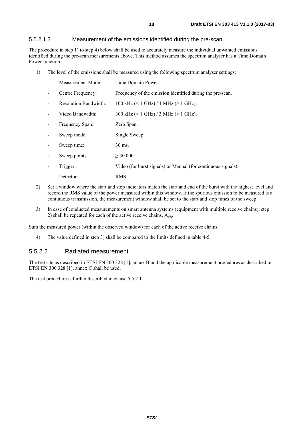#### <span id="page-17-0"></span>5.5.2.1.3 Measurement of the emissions identified during the pre-scan

The procedure in step 1) to step 4) below shall be used to accurately measure the individual unwanted emissions identified during the pre-scan measurements above. This method assumes the spectrum analyser has a Time Domain Power function.

1) The level of the emissions shall be measured using the following spectrum analyser settings:

| Measurement Mode:            | Time Domain Power.                                            |
|------------------------------|---------------------------------------------------------------|
| Centre Frequency:            | Frequency of the emission identified during the pre-scan.     |
| <b>Resolution Bandwidth:</b> | 100 kHz $(< 1$ GHz $)/1$ MHz $(> 1$ GHz $)$ .                 |
| Video Bandwidth:             | 300 kHz $(< 1$ GHz $)/3$ MHz $(> 1$ GHz $)$ .                 |
| Frequency Span:              | Zero Span.                                                    |
| Sweep mode:                  | Single Sweep.                                                 |
| Sweep time:                  | 30 ms.                                                        |
| Sweep points:                | $>$ 30 000.                                                   |
| Trigger:                     | Video (for burst signals) or Manual (for continuous signals). |
| Detector:                    | <b>RMS</b>                                                    |

- 
- 2) Set a window where the start and stop indicators match the start and end of the burst with the highest level and record the RMS value of the power measured within this window. If the spurious emission to be measured is a continuous transmission, the measurement window shall be set to the start and stop times of the sweep.
- 3) In case of conducted measurements on smart antenna systems (equipment with multiple receive chains), step 2) shall be repeated for each of the active receive chains,  $A_{ch}$ .

Sum the measured power (within the observed window) for each of the active receive chains.

4) The value defined in step 3) shall be compared to the limits defined in table 4-5.

#### 5.5.2.2 Radiated measurement

The test site as described in ETSI EN 300 328 [\[1](#page-6-0)], annex B and the applicable measurement procedures as described in ETSI EN 300 328 [\[1](#page-6-0)], annex C shall be used.

The test procedure is further described in clause 5.5.2.1.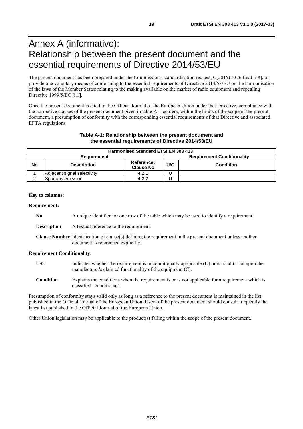## <span id="page-18-0"></span>Annex A (informative): Relationship between the present document and the essential requirements of Directive 2014/53/EU

The present document has been prepared under the Commission's standardisation request, C(2015) 5376 final [\[i.8](#page-7-0)], to provide one voluntary means of conforming to the essential requirements of Directive 2014/53/EU on the harmonisation of the laws of the Member States relating to the making available on the market of radio equipment and repealing Directive 1999/5/EC [\[i.1\]](#page-7-0).

Once the present document is cited in the Official Journal of the European Union under that Directive, compliance with the normative clauses of the present document given in table A-1 confers, within the limits of the scope of the present document, a presumption of conformity with the corresponding essential requirements of that Directive and associated EFTA regulations.

#### **Table A-1: Relationship between the present document and the essential requirements of Directive 2014/53/EU**

|                                                  | <b>Harmonised Standard ETSI EN 303 413</b> |                                |                         |  |  |  |  |  |  |
|--------------------------------------------------|--------------------------------------------|--------------------------------|-------------------------|--|--|--|--|--|--|
| <b>Requirement Conditionality</b><br>Requirement |                                            |                                |                         |  |  |  |  |  |  |
| No                                               | <b>Description</b>                         | Reference:<br><b>Clause No</b> | U/C<br><b>Condition</b> |  |  |  |  |  |  |
|                                                  | Adjacent signal selectivity                | 4.2.1                          |                         |  |  |  |  |  |  |
|                                                  | <b>S</b> purious emission                  | 4.2.2                          |                         |  |  |  |  |  |  |

#### **Key to columns:**

#### **Requirement:**

- **No** A unique identifier for one row of the table which may be used to identify a requirement.
- **Description** A textual reference to the requirement.
- **Clause Number** Identification of clause(s) defining the requirement in the present document unless another document is referenced explicitly.

#### **Requirement Conditionality:**

- **U/C** Indicates whether the requirement is unconditionally applicable (U) or is conditional upon the manufacturer's claimed functionality of the equipment (C).
- **Condition** Explains the conditions when the requirement is or is not applicable for a requirement which is classified "conditional".

Presumption of conformity stays valid only as long as a reference to the present document is maintained in the list published in the Official Journal of the European Union. Users of the present document should consult frequently the latest list published in the Official Journal of the European Union.

Other Union legislation may be applicable to the product(s) falling within the scope of the present document.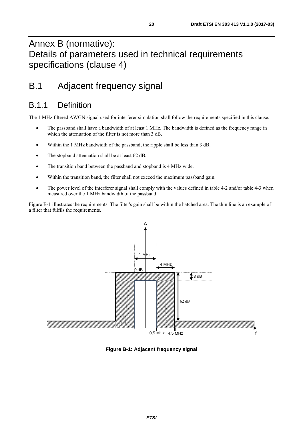## <span id="page-19-0"></span>Annex B (normative): Details of parameters used in technical requirements specifications (clause 4)

## B.1 Adjacent frequency signal

### B.1.1 Definition

The 1 MHz filtered AWGN signal used for interferer simulation shall follow the requirements specified in this clause:

- The passband shall have a bandwidth of at least 1 MHz. The bandwidth is defined as the frequency range in which the attenuation of the filter is not more than 3 dB.
- Within the 1 MHz bandwidth of the passband, the ripple shall be less than 3 dB.
- The stopband attenuation shall be at least 62 dB.
- The transition band between the passband and stopband is 4 MHz wide.
- Within the transition band, the filter shall not exceed the maximum passband gain.
- The power level of the interferer signal shall comply with the values defined in table 4-2 and/or table 4-3 when measured over the 1 MHz bandwidth of the passband.

Figure B-1 illustrates the requirements. The filter's gain shall be within the hatched area. The thin line is an example of a filter that fulfils the requirements.



**Figure B-1: Adjacent frequency signal**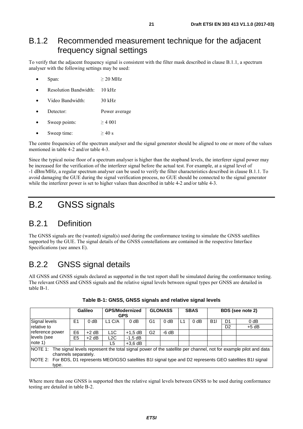### <span id="page-20-0"></span>B.1.2 Recommended measurement technique for the adjacent frequency signal settings

To verify that the adjacent frequency signal is consistent with the filter mask described in clause B.1.1, a spectrum analyser with the following settings may be used:

- Span:  $> 20$  MHz
- Resolution Bandwidth: 10 kHz
- Video Bandwidth: 30 kHz
- **Detector:** Power average
- Sweep points:  $\geq 4001$
- Sweep time:  $> 40 \text{ s}$

The centre frequencies of the spectrum analyser and the signal generator should be aligned to one or more of the values mentioned in table 4-2 and/or table 4-3.

Since the typical noise floor of a spectrum analyser is higher than the stopband levels, the interferer signal power may be increased for the verification of the interferer signal before the actual test. For example, at a signal level of -1 dBm/MHz, a regular spectrum analyser can be used to verify the filter characteristics described in clause B.1.1. To avoid damaging the GUE during the signal verification process, no GUE should be connected to the signal generator while the interferer power is set to higher values than described in table 4-2 and/or table 4-3.

## B.2 GNSS signals

### B.2.1 Definition

The GNSS signals are the (wanted) signal(s) used during the conformance testing to simulate the GNSS satellites supported by the GUE. The signal details of the GNSS constellations are contained in the respective Interface Specifications (see annex E).

### B.2.2 GNSS signal details

All GNSS and GNSS signals declared as supported in the test report shall be simulated during the conformance testing. The relevant GNSS and GNSS signals and the relative signal levels between signal types per GNSS are detailed in table B-1.

|                                                                                                                         |                | <b>GPS/Modernized</b><br>Galileo<br><b>GPS</b> |                  |           | <b>GLONASS</b> |                  | <b>SBAS</b> |                  | BDS (see note 2) |                |         |
|-------------------------------------------------------------------------------------------------------------------------|----------------|------------------------------------------------|------------------|-----------|----------------|------------------|-------------|------------------|------------------|----------------|---------|
|                                                                                                                         |                |                                                |                  |           |                |                  |             |                  |                  |                |         |
| Signal levels                                                                                                           | E1             | 0 <sub>d</sub> B                               | L1 C/A           | $0$ dB    | G1             | 0 <sub>d</sub> B | L1          | 0 <sub>d</sub> B | B11              | D <sub>1</sub> | 0 dB    |
| relative to                                                                                                             |                |                                                |                  |           |                |                  |             |                  |                  | D <sub>2</sub> | $+5$ dB |
| reference power                                                                                                         | E <sub>6</sub> | $+2$ dB                                        | L <sub>1</sub> C | $+1.5$ dB | G2             | $-6 dB$          |             |                  |                  |                |         |
| levels (see                                                                                                             | E <sub>5</sub> | $+2$ dB                                        | L2C              | $-1.5$ dB |                |                  |             |                  |                  |                |         |
| note 1)                                                                                                                 |                |                                                | L5               | $+3.6$ dB |                |                  |             |                  |                  |                |         |
| NOTE 1: The signal levels represent the total signal power of the satellite per channel, not for example pilot and data |                |                                                |                  |           |                |                  |             |                  |                  |                |         |
| channels separately.                                                                                                    |                |                                                |                  |           |                |                  |             |                  |                  |                |         |
| NOTE 2: For BDS, D1 represents MEO/IGSO satellites B1I signal type and D2 represents GEO satellites B1I signal          |                |                                                |                  |           |                |                  |             |                  |                  |                |         |
| type.                                                                                                                   |                |                                                |                  |           |                |                  |             |                  |                  |                |         |

| Table B-1: GNSS, GNSS signals and relative signal levels |  |
|----------------------------------------------------------|--|
|----------------------------------------------------------|--|

Where more than one GNSS is supported then the relative signal levels between GNSS to be used during conformance testing are detailed in table B-2.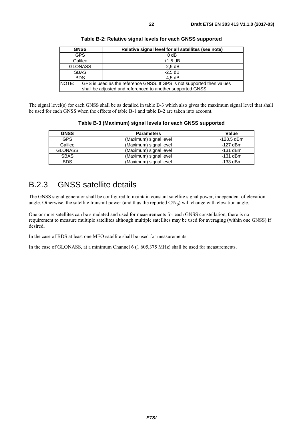<span id="page-21-0"></span>

| <b>GNSS</b>                                                                                                                                    | Relative signal level for all satellites (see note) |  |  |  |  |  |
|------------------------------------------------------------------------------------------------------------------------------------------------|-----------------------------------------------------|--|--|--|--|--|
| <b>GPS</b>                                                                                                                                     | 0 <sub>d</sub> B                                    |  |  |  |  |  |
| Galileo                                                                                                                                        | $+1.5$ dB                                           |  |  |  |  |  |
| <b>GLONASS</b>                                                                                                                                 | $-2.5$ dB                                           |  |  |  |  |  |
| <b>SBAS</b>                                                                                                                                    | $-2.5$ dB                                           |  |  |  |  |  |
| <b>BDS</b>                                                                                                                                     | $-4.5$ dB                                           |  |  |  |  |  |
| NOTE:<br>GPS is used as the reference GNSS. If GPS is not supported then values<br>shall be adjusted and referenced to another supported GNSS. |                                                     |  |  |  |  |  |

**Table B-2: Relative signal levels for each GNSS supported** 

The signal level(s) for each GNSS shall be as detailed in table B-3 which also gives the maximum signal level that shall be used for each GNSS when the effects of table B-1 and table B-2 are taken into account.

#### **Table B-3 (Maximum) signal levels for each GNSS supported**

| <b>GNSS</b>    | <b>Parameters</b>      | Value      |
|----------------|------------------------|------------|
| <b>GPS</b>     | (Maximum) signal level | -128,5 dBm |
| Galileo        | (Maximum) signal level | $-127$ dBm |
| <b>GLONASS</b> | (Maximum) signal level | $-131$ dBm |
| <b>SBAS</b>    | (Maximum) signal level | $-131$ dBm |
| <b>BDS</b>     | (Maximum) signal level | $-133$ dBm |

### B.2.3 GNSS satellite details

The GNSS signal generator shall be configured to maintain constant satellite signal power, independent of elevation angle. Otherwise, the satellite transmit power (and thus the reported  $C/N_0$ ) will change with elevation angle.

One or more satellites can be simulated and used for measurements for each GNSS constellation, there is no requirement to measure multiple satellites although multiple satellites may be used for averaging (within one GNSS) if desired.

In the case of BDS at least one MEO satellite shall be used for measurements.

In the case of GLONASS, at a minimum Channel 6 (1 605,375 MHz) shall be used for measurements.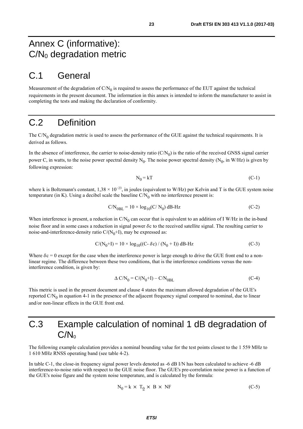### <span id="page-22-0"></span>C.1 General

Measurement of the degradation of  $C/N_0$  is required to assess the performance of the EUT against the technical requirements in the present document. The information in this annex is intended to inform the manufacturer to assist in completing the tests and making the declaration of conformity.

## C.2 Definition

The  $C/N_0$  degradation metric is used to assess the performance of the GUE against the technical requirements. It is derived as follows.

In the absence of interference, the carrier to noise-density ratio  $(C/N_0)$  is the ratio of the received GNSS signal carrier power C, in watts, to the noise power spectral density  $N_0$ . The noise power spectral density ( $N_0$ , in W/Hz) is given by following expression:

$$
N_0 = kT \tag{C-1}
$$

where k is Boltzmann's constant, 1,38 × 10<sup>-23</sup>, in joules (equivalent to W/Hz) per Kelvin and T is the GUE system noise temperature (in K). Using a decibel scale the baseline  $C/N_0$  with no interference present is:

$$
C/N_{0BL} = 10 \times \log_{10}(C/N_0) \, \text{dB-Hz}
$$
\n
$$
(C-2)
$$

When interference is present, a reduction in  $CN_0$  can occur that is equivalent to an addition of I W/Hz in the in-band noise floor and in some cases a reduction in signal power  $\delta c$  to the received satellite signal. The resulting carrier to noise-and-interference-density ratio  $C/(N_0+I)$ , may be expressed as:

$$
C/(N_0+I) = 10 \times \log_{10}((C - \delta c) / (N_0 + I)) dB - Hz
$$
 (C-3)

Where  $\delta c = 0$  except for the case when the interference power is large enough to drive the GUE front end to a nonlinear regime. The difference between these two conditions, that is the interference conditions versus the noninterference condition, is given by:

$$
\Delta \text{ C/N}_0 = \text{C/(N}_0 + \text{I}) - \text{C/N}_{0\text{BL}} \tag{C-4}
$$

This metric is used in the present document and clause 4 states the maximum allowed degradation of the GUE's reported  $CN<sub>0</sub>$  in equation 4-1 in the presence of the adjacent frequency signal compared to nominal, due to linear and/or non-linear effects in the GUE front end.

## C.3 Example calculation of nominal 1 dB degradation of  $C/N<sub>0</sub>$

The following example calculation provides a nominal bounding value for the test points closest to the 1 559 MHz to 1 610 MHz RNSS operating band (see table 4-2).

In table C-1, the close-in frequency signal power levels denoted as -6 dB I/N has been calculated to achieve -6 dB interference-to-noise ratio with respect to the GUE noise floor. The GUE's pre-correlation noise power is a function of the GUE's noise figure and the system noise temperature, and is calculated by the formula:

$$
N_0 = k \times T_0 \times B \times NF
$$
 (C-5)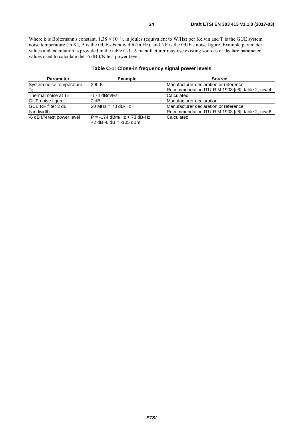Where k is Boltzmann's constant,  $1,38 \times 10^{-23}$ , in joules (equivalent to W/Hz) per Kelvin and T is the GUE system noise temperature (in K), B is the GUE's bandwidth (in Hz), and NF is the GUE's noise figure. Example parameter values and calculation is provided in the table C-1. A manufacturer may use existing sources or declare parameter values used to calculate the -6 dB I/N test power level.

| <b>Parameter</b>                | <b>Example</b>              | <b>Source</b>                                     |  |  |  |
|---------------------------------|-----------------------------|---------------------------------------------------|--|--|--|
| System noise temperature        | 290 K                       | Manufacturer declaration or reference             |  |  |  |
| ITo                             |                             | Recommendation ITU-R M.1903 [i.6], table 2, row 4 |  |  |  |
| Thermal noise at T <sub>0</sub> | $-174$ dBm/Hz               | Calculated                                        |  |  |  |
| GUE noise figure                | 2 dB                        | Manufacturer declaration                          |  |  |  |
| <b>IGUE RF filter 3 dB</b>      | $120$ MHz = 73 dB-Hz        | Manufacturer declaration or reference             |  |  |  |
| bandwidth                       |                             | Recommendation ITU-R M.1903 [i.6], table 2, row 6 |  |  |  |
| -6 dB I/N test power level      | IP = -174 dBm/Hz + 73 dB-Hz | Calculated                                        |  |  |  |
|                                 | l+2 dB -6 dB = -105 dBm     |                                                   |  |  |  |

#### **Table C-1: Close-in frequency signal power levels**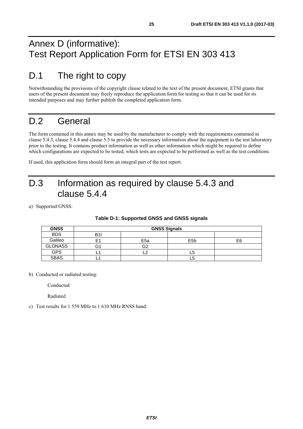## <span id="page-24-0"></span>Annex D (informative): Test Report Application Form for ETSI EN 303 413

## D.1 The right to copy

Notwithstanding the provisions of the copyright clause related to the text of the present document, ETSI grants that users of the present document may freely reproduce the application form for testing so that it can be used for its intended purposes and may further publish the completed application form.

## D.2 General

The form contained in this annex may be used by the manufacturer to comply with the requirements contained in clause 5.4.3, clause 5.4.4 and clause 5.5 to provide the necessary information about the equipment to the test laboratory prior to the testing. It contains product information as well as other information which might be required to define which configurations are expected to be tested, which tests are expected to be performed as well as the test conditions.

If used, this application form should form an integral part of the test report.

## D.3 Information as required by clause 5.4.3 and clause 5.4.4

a) Supported GNSS:

| <b>GNSS</b>    | <b>GNSS Signals</b> |                 |                  |    |  |  |  |  |
|----------------|---------------------|-----------------|------------------|----|--|--|--|--|
| <b>BDS</b>     | B1                  |                 |                  |    |  |  |  |  |
| Galileo        |                     | E <sub>5a</sub> | E <sub>5</sub> b | E6 |  |  |  |  |
| <b>GLONASS</b> | تى                  | G2              |                  |    |  |  |  |  |
| <b>GPS</b>     |                     | c               | ∟a               |    |  |  |  |  |
| <b>SBAS</b>    |                     |                 | LO               |    |  |  |  |  |

#### **Table D-1: Supported GNSS and GNSS signals**

b) Conducted or radiated testing:

Conducted

Radiated

c) Test results for 1 559 MHz to 1 610 MHz RNSS band: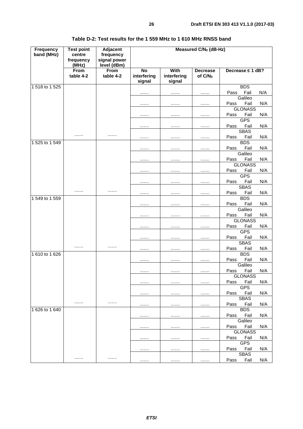| With<br>From<br>Decrease $\leq 1$ dB?<br><b>From</b><br>No<br><b>Decrease</b><br>interfering<br>interfering<br>table 4-2<br>table 4-2<br>of C/N <sub>0</sub><br>signal<br>signal<br><b>BDS</b><br>Fail<br>N/A<br>Pass<br><br><br><br>Galileo<br>Pass<br>Fail<br>N/A<br><br><br><br><b>GLONASS</b><br>Fail<br>N/A<br>Pass<br><br><br><br><b>GPS</b><br>Fail<br>N/A<br>Pass<br><br><br><br><b>SBAS</b><br><br><br>Fail<br>N/A<br>Pass<br><br><br><br><b>BDS</b><br>1 525 to 1 549<br>Fail<br>N/A<br>Pass<br><br><br><br>Galileo<br>Fail<br>N/A<br>Pass<br><br><br><br><b>GLONASS</b><br>Fail<br>Pass<br>N/A<br><br><br><br><b>GPS</b><br>Fail<br>Pass<br>N/A<br><br><br><br><b>SBAS</b><br><br><br>Fail<br>N/A<br>Pass<br><br><br><br><b>BDS</b><br>1 549 to 1 559<br>Fail<br>N/A<br>Pass<br><br><br><br>Galileo<br>Fail<br>Pass<br>N/A<br><br><br><br><b>GLONASS</b><br>Fail<br>N/A<br>Pass<br><br><br><br><b>GPS</b><br>Fail<br>N/A<br>Pass<br><br><br><br><b>SBAS</b><br>.<br><br>Fail<br>Pass<br>N/A<br><br><br><br><b>BDS</b><br>Fail<br>Pass<br>N/A<br><br><br><br>Galileo<br>Fail<br>N/A<br>Pass<br><br><br><br><b>GLONASS</b><br>Fail<br>N/A<br>Pass<br><br><br><br><b>GPS</b><br>Fail<br>N/A<br>Pass<br><br><br><br><b>SBAS</b><br><br><br>Fail<br>N/A<br>Pass<br><br><br><br><b>BDS</b><br>Fail<br>N/A<br>Pass<br><br><br><br>Galileo<br>Fail<br>Pass<br>N/A<br><br><br><br><b>GLONASS</b><br>Pass Fail<br>N/A<br><br><br><br><b>GPS</b><br>Fail<br>N/A<br>Pass<br><br><br><br><b>SBAS</b> | <b>Frequency</b><br>band (MHz) | <b>Test point</b><br>centre<br>frequency<br>(MHz) | Adjacent<br>frequency<br>signal power<br>level (dBm) | Measured C/N <sub>0</sub> (dB-Hz) |  |  |     |  |  |  |
|----------------------------------------------------------------------------------------------------------------------------------------------------------------------------------------------------------------------------------------------------------------------------------------------------------------------------------------------------------------------------------------------------------------------------------------------------------------------------------------------------------------------------------------------------------------------------------------------------------------------------------------------------------------------------------------------------------------------------------------------------------------------------------------------------------------------------------------------------------------------------------------------------------------------------------------------------------------------------------------------------------------------------------------------------------------------------------------------------------------------------------------------------------------------------------------------------------------------------------------------------------------------------------------------------------------------------------------------------------------------------------------------------------------------------------------------------------------------------------------------------|--------------------------------|---------------------------------------------------|------------------------------------------------------|-----------------------------------|--|--|-----|--|--|--|
|                                                                                                                                                                                                                                                                                                                                                                                                                                                                                                                                                                                                                                                                                                                                                                                                                                                                                                                                                                                                                                                                                                                                                                                                                                                                                                                                                                                                                                                                                                    |                                |                                                   |                                                      |                                   |  |  |     |  |  |  |
|                                                                                                                                                                                                                                                                                                                                                                                                                                                                                                                                                                                                                                                                                                                                                                                                                                                                                                                                                                                                                                                                                                                                                                                                                                                                                                                                                                                                                                                                                                    | 1 518 to 1 525                 |                                                   |                                                      |                                   |  |  |     |  |  |  |
|                                                                                                                                                                                                                                                                                                                                                                                                                                                                                                                                                                                                                                                                                                                                                                                                                                                                                                                                                                                                                                                                                                                                                                                                                                                                                                                                                                                                                                                                                                    |                                |                                                   |                                                      |                                   |  |  |     |  |  |  |
|                                                                                                                                                                                                                                                                                                                                                                                                                                                                                                                                                                                                                                                                                                                                                                                                                                                                                                                                                                                                                                                                                                                                                                                                                                                                                                                                                                                                                                                                                                    |                                |                                                   |                                                      |                                   |  |  |     |  |  |  |
|                                                                                                                                                                                                                                                                                                                                                                                                                                                                                                                                                                                                                                                                                                                                                                                                                                                                                                                                                                                                                                                                                                                                                                                                                                                                                                                                                                                                                                                                                                    |                                |                                                   |                                                      |                                   |  |  |     |  |  |  |
|                                                                                                                                                                                                                                                                                                                                                                                                                                                                                                                                                                                                                                                                                                                                                                                                                                                                                                                                                                                                                                                                                                                                                                                                                                                                                                                                                                                                                                                                                                    |                                |                                                   |                                                      |                                   |  |  |     |  |  |  |
|                                                                                                                                                                                                                                                                                                                                                                                                                                                                                                                                                                                                                                                                                                                                                                                                                                                                                                                                                                                                                                                                                                                                                                                                                                                                                                                                                                                                                                                                                                    |                                |                                                   |                                                      |                                   |  |  |     |  |  |  |
|                                                                                                                                                                                                                                                                                                                                                                                                                                                                                                                                                                                                                                                                                                                                                                                                                                                                                                                                                                                                                                                                                                                                                                                                                                                                                                                                                                                                                                                                                                    |                                |                                                   |                                                      |                                   |  |  |     |  |  |  |
|                                                                                                                                                                                                                                                                                                                                                                                                                                                                                                                                                                                                                                                                                                                                                                                                                                                                                                                                                                                                                                                                                                                                                                                                                                                                                                                                                                                                                                                                                                    |                                |                                                   |                                                      |                                   |  |  |     |  |  |  |
|                                                                                                                                                                                                                                                                                                                                                                                                                                                                                                                                                                                                                                                                                                                                                                                                                                                                                                                                                                                                                                                                                                                                                                                                                                                                                                                                                                                                                                                                                                    |                                |                                                   |                                                      |                                   |  |  |     |  |  |  |
|                                                                                                                                                                                                                                                                                                                                                                                                                                                                                                                                                                                                                                                                                                                                                                                                                                                                                                                                                                                                                                                                                                                                                                                                                                                                                                                                                                                                                                                                                                    |                                |                                                   |                                                      |                                   |  |  |     |  |  |  |
|                                                                                                                                                                                                                                                                                                                                                                                                                                                                                                                                                                                                                                                                                                                                                                                                                                                                                                                                                                                                                                                                                                                                                                                                                                                                                                                                                                                                                                                                                                    |                                |                                                   |                                                      |                                   |  |  |     |  |  |  |
|                                                                                                                                                                                                                                                                                                                                                                                                                                                                                                                                                                                                                                                                                                                                                                                                                                                                                                                                                                                                                                                                                                                                                                                                                                                                                                                                                                                                                                                                                                    |                                |                                                   |                                                      |                                   |  |  |     |  |  |  |
|                                                                                                                                                                                                                                                                                                                                                                                                                                                                                                                                                                                                                                                                                                                                                                                                                                                                                                                                                                                                                                                                                                                                                                                                                                                                                                                                                                                                                                                                                                    |                                |                                                   |                                                      |                                   |  |  |     |  |  |  |
|                                                                                                                                                                                                                                                                                                                                                                                                                                                                                                                                                                                                                                                                                                                                                                                                                                                                                                                                                                                                                                                                                                                                                                                                                                                                                                                                                                                                                                                                                                    |                                |                                                   |                                                      |                                   |  |  |     |  |  |  |
|                                                                                                                                                                                                                                                                                                                                                                                                                                                                                                                                                                                                                                                                                                                                                                                                                                                                                                                                                                                                                                                                                                                                                                                                                                                                                                                                                                                                                                                                                                    |                                |                                                   |                                                      |                                   |  |  |     |  |  |  |
|                                                                                                                                                                                                                                                                                                                                                                                                                                                                                                                                                                                                                                                                                                                                                                                                                                                                                                                                                                                                                                                                                                                                                                                                                                                                                                                                                                                                                                                                                                    |                                |                                                   |                                                      |                                   |  |  |     |  |  |  |
|                                                                                                                                                                                                                                                                                                                                                                                                                                                                                                                                                                                                                                                                                                                                                                                                                                                                                                                                                                                                                                                                                                                                                                                                                                                                                                                                                                                                                                                                                                    |                                |                                                   |                                                      |                                   |  |  |     |  |  |  |
|                                                                                                                                                                                                                                                                                                                                                                                                                                                                                                                                                                                                                                                                                                                                                                                                                                                                                                                                                                                                                                                                                                                                                                                                                                                                                                                                                                                                                                                                                                    |                                |                                                   |                                                      |                                   |  |  |     |  |  |  |
|                                                                                                                                                                                                                                                                                                                                                                                                                                                                                                                                                                                                                                                                                                                                                                                                                                                                                                                                                                                                                                                                                                                                                                                                                                                                                                                                                                                                                                                                                                    |                                |                                                   |                                                      |                                   |  |  |     |  |  |  |
|                                                                                                                                                                                                                                                                                                                                                                                                                                                                                                                                                                                                                                                                                                                                                                                                                                                                                                                                                                                                                                                                                                                                                                                                                                                                                                                                                                                                                                                                                                    |                                |                                                   |                                                      |                                   |  |  |     |  |  |  |
|                                                                                                                                                                                                                                                                                                                                                                                                                                                                                                                                                                                                                                                                                                                                                                                                                                                                                                                                                                                                                                                                                                                                                                                                                                                                                                                                                                                                                                                                                                    |                                |                                                   |                                                      |                                   |  |  |     |  |  |  |
|                                                                                                                                                                                                                                                                                                                                                                                                                                                                                                                                                                                                                                                                                                                                                                                                                                                                                                                                                                                                                                                                                                                                                                                                                                                                                                                                                                                                                                                                                                    |                                |                                                   |                                                      |                                   |  |  |     |  |  |  |
|                                                                                                                                                                                                                                                                                                                                                                                                                                                                                                                                                                                                                                                                                                                                                                                                                                                                                                                                                                                                                                                                                                                                                                                                                                                                                                                                                                                                                                                                                                    |                                |                                                   |                                                      |                                   |  |  |     |  |  |  |
|                                                                                                                                                                                                                                                                                                                                                                                                                                                                                                                                                                                                                                                                                                                                                                                                                                                                                                                                                                                                                                                                                                                                                                                                                                                                                                                                                                                                                                                                                                    |                                |                                                   |                                                      |                                   |  |  |     |  |  |  |
|                                                                                                                                                                                                                                                                                                                                                                                                                                                                                                                                                                                                                                                                                                                                                                                                                                                                                                                                                                                                                                                                                                                                                                                                                                                                                                                                                                                                                                                                                                    |                                |                                                   |                                                      |                                   |  |  |     |  |  |  |
|                                                                                                                                                                                                                                                                                                                                                                                                                                                                                                                                                                                                                                                                                                                                                                                                                                                                                                                                                                                                                                                                                                                                                                                                                                                                                                                                                                                                                                                                                                    |                                |                                                   |                                                      |                                   |  |  |     |  |  |  |
|                                                                                                                                                                                                                                                                                                                                                                                                                                                                                                                                                                                                                                                                                                                                                                                                                                                                                                                                                                                                                                                                                                                                                                                                                                                                                                                                                                                                                                                                                                    |                                |                                                   |                                                      |                                   |  |  |     |  |  |  |
|                                                                                                                                                                                                                                                                                                                                                                                                                                                                                                                                                                                                                                                                                                                                                                                                                                                                                                                                                                                                                                                                                                                                                                                                                                                                                                                                                                                                                                                                                                    |                                |                                                   |                                                      |                                   |  |  |     |  |  |  |
|                                                                                                                                                                                                                                                                                                                                                                                                                                                                                                                                                                                                                                                                                                                                                                                                                                                                                                                                                                                                                                                                                                                                                                                                                                                                                                                                                                                                                                                                                                    | 1 610 to 1 626                 |                                                   |                                                      |                                   |  |  |     |  |  |  |
|                                                                                                                                                                                                                                                                                                                                                                                                                                                                                                                                                                                                                                                                                                                                                                                                                                                                                                                                                                                                                                                                                                                                                                                                                                                                                                                                                                                                                                                                                                    |                                |                                                   |                                                      |                                   |  |  |     |  |  |  |
|                                                                                                                                                                                                                                                                                                                                                                                                                                                                                                                                                                                                                                                                                                                                                                                                                                                                                                                                                                                                                                                                                                                                                                                                                                                                                                                                                                                                                                                                                                    |                                |                                                   |                                                      |                                   |  |  |     |  |  |  |
|                                                                                                                                                                                                                                                                                                                                                                                                                                                                                                                                                                                                                                                                                                                                                                                                                                                                                                                                                                                                                                                                                                                                                                                                                                                                                                                                                                                                                                                                                                    |                                |                                                   |                                                      |                                   |  |  |     |  |  |  |
|                                                                                                                                                                                                                                                                                                                                                                                                                                                                                                                                                                                                                                                                                                                                                                                                                                                                                                                                                                                                                                                                                                                                                                                                                                                                                                                                                                                                                                                                                                    |                                |                                                   |                                                      |                                   |  |  |     |  |  |  |
|                                                                                                                                                                                                                                                                                                                                                                                                                                                                                                                                                                                                                                                                                                                                                                                                                                                                                                                                                                                                                                                                                                                                                                                                                                                                                                                                                                                                                                                                                                    |                                |                                                   |                                                      |                                   |  |  |     |  |  |  |
|                                                                                                                                                                                                                                                                                                                                                                                                                                                                                                                                                                                                                                                                                                                                                                                                                                                                                                                                                                                                                                                                                                                                                                                                                                                                                                                                                                                                                                                                                                    |                                |                                                   |                                                      |                                   |  |  |     |  |  |  |
|                                                                                                                                                                                                                                                                                                                                                                                                                                                                                                                                                                                                                                                                                                                                                                                                                                                                                                                                                                                                                                                                                                                                                                                                                                                                                                                                                                                                                                                                                                    |                                |                                                   |                                                      |                                   |  |  |     |  |  |  |
|                                                                                                                                                                                                                                                                                                                                                                                                                                                                                                                                                                                                                                                                                                                                                                                                                                                                                                                                                                                                                                                                                                                                                                                                                                                                                                                                                                                                                                                                                                    |                                |                                                   |                                                      |                                   |  |  |     |  |  |  |
|                                                                                                                                                                                                                                                                                                                                                                                                                                                                                                                                                                                                                                                                                                                                                                                                                                                                                                                                                                                                                                                                                                                                                                                                                                                                                                                                                                                                                                                                                                    | 1 626 to 1 640                 |                                                   |                                                      |                                   |  |  |     |  |  |  |
|                                                                                                                                                                                                                                                                                                                                                                                                                                                                                                                                                                                                                                                                                                                                                                                                                                                                                                                                                                                                                                                                                                                                                                                                                                                                                                                                                                                                                                                                                                    |                                |                                                   |                                                      |                                   |  |  |     |  |  |  |
|                                                                                                                                                                                                                                                                                                                                                                                                                                                                                                                                                                                                                                                                                                                                                                                                                                                                                                                                                                                                                                                                                                                                                                                                                                                                                                                                                                                                                                                                                                    |                                |                                                   |                                                      |                                   |  |  |     |  |  |  |
|                                                                                                                                                                                                                                                                                                                                                                                                                                                                                                                                                                                                                                                                                                                                                                                                                                                                                                                                                                                                                                                                                                                                                                                                                                                                                                                                                                                                                                                                                                    |                                |                                                   |                                                      |                                   |  |  |     |  |  |  |
|                                                                                                                                                                                                                                                                                                                                                                                                                                                                                                                                                                                                                                                                                                                                                                                                                                                                                                                                                                                                                                                                                                                                                                                                                                                                                                                                                                                                                                                                                                    |                                |                                                   |                                                      |                                   |  |  |     |  |  |  |
|                                                                                                                                                                                                                                                                                                                                                                                                                                                                                                                                                                                                                                                                                                                                                                                                                                                                                                                                                                                                                                                                                                                                                                                                                                                                                                                                                                                                                                                                                                    |                                |                                                   |                                                      |                                   |  |  |     |  |  |  |
|                                                                                                                                                                                                                                                                                                                                                                                                                                                                                                                                                                                                                                                                                                                                                                                                                                                                                                                                                                                                                                                                                                                                                                                                                                                                                                                                                                                                                                                                                                    |                                |                                                   |                                                      |                                   |  |  |     |  |  |  |
|                                                                                                                                                                                                                                                                                                                                                                                                                                                                                                                                                                                                                                                                                                                                                                                                                                                                                                                                                                                                                                                                                                                                                                                                                                                                                                                                                                                                                                                                                                    |                                |                                                   |                                                      |                                   |  |  |     |  |  |  |
| Pass<br>Fail<br><br><br>                                                                                                                                                                                                                                                                                                                                                                                                                                                                                                                                                                                                                                                                                                                                                                                                                                                                                                                                                                                                                                                                                                                                                                                                                                                                                                                                                                                                                                                                           |                                |                                                   |                                                      |                                   |  |  | N/A |  |  |  |

**Table D-2: Test results for the 1 559 MHz to 1 610 MHz RNSS band**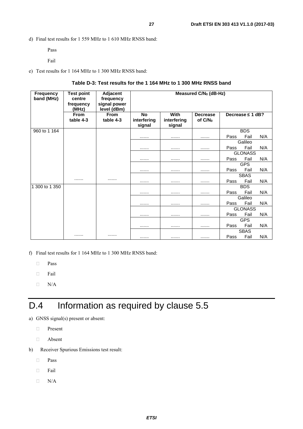<span id="page-26-0"></span>d) Final test results for 1 559 MHz to 1 610 MHz RNSS band:

Pass

Fail

e) Test results for 1 164 MHz to 1 300 MHz RNSS band:

#### **Table D-3: Test results for the 1 164 MHz to 1 300 MHz RNSS band**

| <b>Frequency</b><br>band (MHz) | <b>Test point</b><br>centre<br>frequency<br>(MHz) | Adjacent<br>frequency<br>signal power<br>level (dBm) | Measured C/N <sub>0</sub> (dB-Hz)  |                               |                            |      |                       |     |
|--------------------------------|---------------------------------------------------|------------------------------------------------------|------------------------------------|-------------------------------|----------------------------|------|-----------------------|-----|
|                                | From<br>table 4-3                                 | <b>From</b><br>table 4-3                             | <b>No</b><br>interfering<br>signal | With<br>interfering<br>signal | <b>Decrease</b><br>of C/No |      | Decrease $\leq 1$ dB? |     |
| 960 to 1 164                   |                                                   |                                                      |                                    |                               |                            |      | <b>BDS</b>            |     |
|                                |                                                   |                                                      |                                    |                               |                            | Pass | Fail                  | N/A |
|                                |                                                   |                                                      |                                    |                               |                            |      | Galileo               |     |
|                                |                                                   |                                                      |                                    |                               |                            | Pass | Fail                  | N/A |
|                                |                                                   |                                                      |                                    |                               |                            |      | <b>GLONASS</b>        |     |
|                                |                                                   |                                                      |                                    |                               |                            | Pass | Fail                  | N/A |
|                                |                                                   |                                                      |                                    |                               |                            |      | <b>GPS</b>            |     |
|                                |                                                   |                                                      |                                    |                               |                            | Pass | Fail                  | N/A |
|                                |                                                   |                                                      |                                    |                               |                            |      | <b>SBAS</b>           |     |
|                                |                                                   |                                                      |                                    |                               |                            | Pass | Fail                  | N/A |
| 300 to 1 350                   |                                                   |                                                      |                                    |                               |                            |      | <b>BDS</b>            |     |
|                                |                                                   |                                                      |                                    |                               |                            | Pass | Fail                  | N/A |
|                                |                                                   |                                                      |                                    |                               |                            |      | Galileo               |     |
|                                |                                                   |                                                      |                                    |                               |                            | Pass | Fail                  | N/A |
|                                |                                                   |                                                      |                                    |                               |                            |      | <b>GLONASS</b>        |     |
|                                |                                                   |                                                      |                                    |                               |                            | Pass | Fail                  | N/A |
|                                |                                                   |                                                      |                                    |                               |                            |      | <b>GPS</b>            |     |
|                                |                                                   |                                                      |                                    |                               |                            | Pass | Fail                  | N/A |
|                                |                                                   |                                                      |                                    |                               |                            |      | <b>SBAS</b>           |     |
|                                |                                                   |                                                      |                                    | .                             |                            | Pass | Fail                  | N/A |

f) Final test results for 1 164 MHz to 1 300 MHz RNSS band:

**Pass** 

Fail

 $\Box$  N/A

## D.4 Information as required by clause 5.5

a) GNSS signal(s) present or absent:

- **Present**
- Absent
- b) Receiver Spurious Emissions test result:
	- **Pass**
	- $\Box$  Fail
	- $\Box$  N/A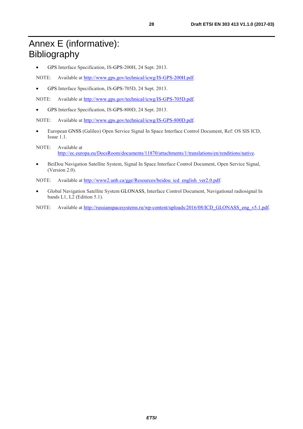## <span id="page-27-0"></span>Annex E (informative): Bibliography

• GPS Interface Specification, IS-GPS-200H, 24 Sept. 2013.

NOTE: Available at<http://www.gps.gov/technical/icwg/IS-GPS-200H.pdf>.

• GPS Interface Specification, IS-GPS-705D, 24 Sept. 2013.

NOTE: Available at<http://www.gps.gov/technical/icwg/IS-GPS-705D.pdf>.

• GPS Interface Specification, IS-GPS-800D, 24 Sept. 2013.

NOTE: Available at<http://www.gps.gov/technical/icwg/IS-GPS-800D.pdf>.

- European GNSS (Galileo) Open Service Signal In Space Interface Control Document, Ref: OS SIS ICD, Issue 1.1.
- NOTE: Available at [http://ec.europa.eu/DocsRoom/documents/11870/attachments/1/translations/en/renditions/native.](http://ec.europa.eu/DocsRoom/documents/11870/attachments/1/translations/en/renditions/native)
- BeiDou Navigation Satellite System, Signal In Space Interface Control Document, Open Service Signal, (Version 2.0).

NOTE: Available at [http://www2.unb.ca/gge/Resources/beidou\\_icd\\_english\\_ver2.0.pdf](http://www2.unb.ca/gge/Resources/beidou_icd_english_ver2.0.pdf).

- Global Navigation Satellite System GLONASS, Interface Control Document, Navigational radiosignal In bands L1, L2 (Edition 5.1).
- NOTE: Available at [http://russianspacesystems.ru/wp-content/uploads/2016/08/ICD\\_GLONASS\\_eng\\_v5.1.pdf](http://russianspacesystems.ru/wp-content/uploads/2016/08/ICD_GLONASS_eng_v5.1.pdf).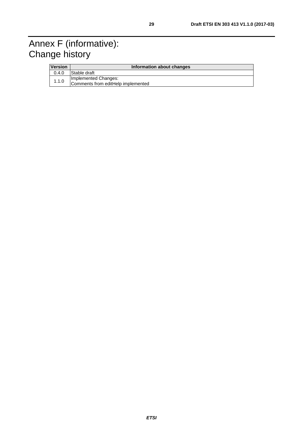## <span id="page-28-0"></span>Annex F (informative): Change history

| <b>Version</b> | Information about changes                                  |  |  |
|----------------|------------------------------------------------------------|--|--|
| 0.4.0          | Stable draft                                               |  |  |
| 1.1.0          | Implemented Changes:<br>Comments from editHelp implemented |  |  |